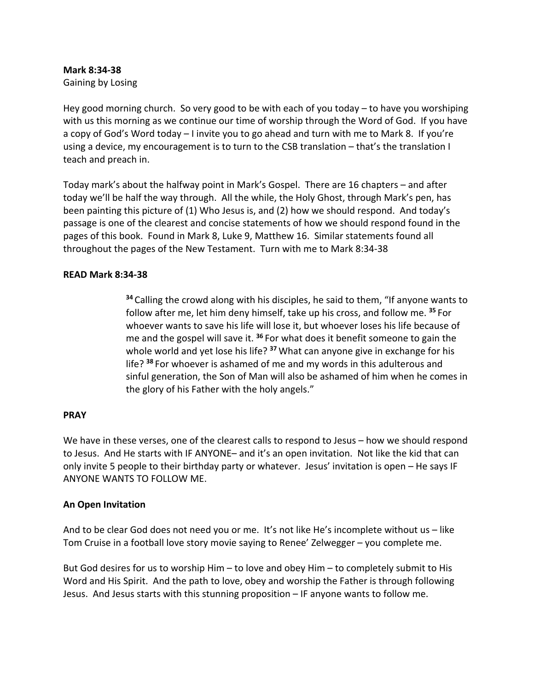# **Mark 8:34-38**

Gaining by Losing

Hey good morning church. So very good to be with each of you today – to have you worshiping with us this morning as we continue our time of worship through the Word of God. If you have a copy of God's Word today – I invite you to go ahead and turn with me to Mark 8. If you're using a device, my encouragement is to turn to the CSB translation – that's the translation I teach and preach in.

Today mark's about the halfway point in Mark's Gospel. There are 16 chapters – and after today we'll be half the way through. All the while, the Holy Ghost, through Mark's pen, has been painting this picture of (1) Who Jesus is, and (2) how we should respond. And today's passage is one of the clearest and concise statements of how we should respond found in the pages of this book. Found in Mark 8, Luke 9, Matthew 16. Similar statements found all throughout the pages of the New Testament. Turn with me to Mark 8:34-38

#### **READ Mark 8:34-38**

**<sup>34</sup>** Calling the crowd along with his disciples, he said to them, "If anyone wants to follow after me, let him deny himself, take up his cross, and follow me. **<sup>35</sup>** For whoever wants to save his life will lose it, but whoever loses his life because of me and the gospel will save it. **<sup>36</sup>** For what does it benefit someone to gain the whole world and yet lose his life? **<sup>37</sup>** What can anyone give in exchange for his life? **<sup>38</sup>** For whoever is ashamed of me and my words in this adulterous and sinful generation, the Son of Man will also be ashamed of him when he comes in the glory of his Father with the holy angels."

#### **PRAY**

We have in these verses, one of the clearest calls to respond to Jesus – how we should respond to Jesus. And He starts with IF ANYONE– and it's an open invitation. Not like the kid that can only invite 5 people to their birthday party or whatever. Jesus' invitation is open – He says IF ANYONE WANTS TO FOLLOW ME.

# **An Open Invitation**

And to be clear God does not need you or me. It's not like He's incomplete without us – like Tom Cruise in a football love story movie saying to Renee' Zelwegger – you complete me.

But God desires for us to worship Him – to love and obey Him – to completely submit to His Word and His Spirit. And the path to love, obey and worship the Father is through following Jesus. And Jesus starts with this stunning proposition – IF anyone wants to follow me.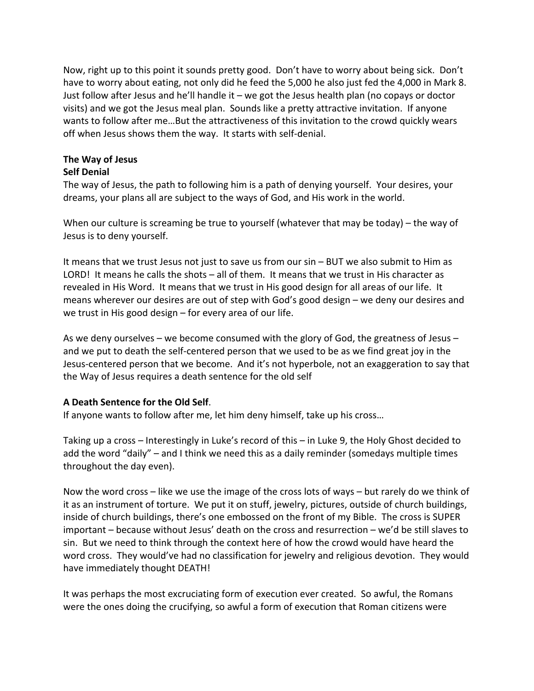Now, right up to this point it sounds pretty good. Don't have to worry about being sick. Don't have to worry about eating, not only did he feed the 5,000 he also just fed the 4,000 in Mark 8. Just follow after Jesus and he'll handle it – we got the Jesus health plan (no copays or doctor visits) and we got the Jesus meal plan. Sounds like a pretty attractive invitation. If anyone wants to follow after me…But the attractiveness of this invitation to the crowd quickly wears off when Jesus shows them the way. It starts with self-denial.

# **The Way of Jesus**

### **Self Denial**

The way of Jesus, the path to following him is a path of denying yourself. Your desires, your dreams, your plans all are subject to the ways of God, and His work in the world.

When our culture is screaming be true to yourself (whatever that may be today) – the way of Jesus is to deny yourself.

It means that we trust Jesus not just to save us from our sin – BUT we also submit to Him as LORD! It means he calls the shots – all of them. It means that we trust in His character as revealed in His Word. It means that we trust in His good design for all areas of our life. It means wherever our desires are out of step with God's good design – we deny our desires and we trust in His good design – for every area of our life.

As we deny ourselves – we become consumed with the glory of God, the greatness of Jesus – and we put to death the self-centered person that we used to be as we find great joy in the Jesus-centered person that we become. And it's not hyperbole, not an exaggeration to say that the Way of Jesus requires a death sentence for the old self

# **A Death Sentence for the Old Self**.

If anyone wants to follow after me, let him deny himself, take up his cross…

Taking up a cross – Interestingly in Luke's record of this – in Luke 9, the Holy Ghost decided to add the word "daily" – and I think we need this as a daily reminder (somedays multiple times throughout the day even).

Now the word cross – like we use the image of the cross lots of ways – but rarely do we think of it as an instrument of torture. We put it on stuff, jewelry, pictures, outside of church buildings, inside of church buildings, there's one embossed on the front of my Bible. The cross is SUPER important – because without Jesus' death on the cross and resurrection – we'd be still slaves to sin. But we need to think through the context here of how the crowd would have heard the word cross. They would've had no classification for jewelry and religious devotion. They would have immediately thought DEATH!

It was perhaps the most excruciating form of execution ever created. So awful, the Romans were the ones doing the crucifying, so awful a form of execution that Roman citizens were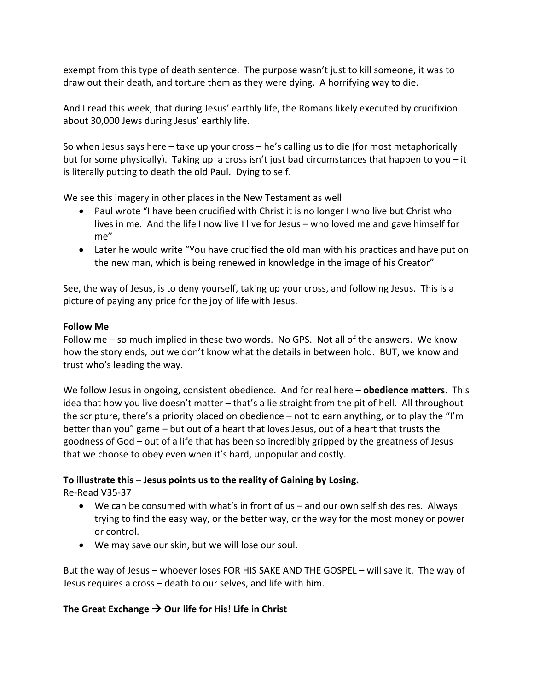exempt from this type of death sentence. The purpose wasn't just to kill someone, it was to draw out their death, and torture them as they were dying. A horrifying way to die.

And I read this week, that during Jesus' earthly life, the Romans likely executed by crucifixion about 30,000 Jews during Jesus' earthly life.

So when Jesus says here – take up your cross – he's calling us to die (for most metaphorically but for some physically). Taking up a cross isn't just bad circumstances that happen to you – it is literally putting to death the old Paul. Dying to self.

We see this imagery in other places in the New Testament as well

- Paul wrote "I have been crucified with Christ it is no longer I who live but Christ who lives in me. And the life I now live I live for Jesus – who loved me and gave himself for me"
- Later he would write "You have crucified the old man with his practices and have put on the new man, which is being renewed in knowledge in the image of his Creator"

See, the way of Jesus, is to deny yourself, taking up your cross, and following Jesus. This is a picture of paying any price for the joy of life with Jesus.

#### **Follow Me**

Follow me – so much implied in these two words. No GPS. Not all of the answers. We know how the story ends, but we don't know what the details in between hold. BUT, we know and trust who's leading the way.

We follow Jesus in ongoing, consistent obedience. And for real here – **obedience matters**. This idea that how you live doesn't matter – that's a lie straight from the pit of hell. All throughout the scripture, there's a priority placed on obedience – not to earn anything, or to play the "I'm better than you" game – but out of a heart that loves Jesus, out of a heart that trusts the goodness of God – out of a life that has been so incredibly gripped by the greatness of Jesus that we choose to obey even when it's hard, unpopular and costly.

# **To illustrate this – Jesus points us to the reality of Gaining by Losing.**

Re-Read V35-37

- We can be consumed with what's in front of us and our own selfish desires. Always trying to find the easy way, or the better way, or the way for the most money or power or control.
- We may save our skin, but we will lose our soul.

But the way of Jesus – whoever loses FOR HIS SAKE AND THE GOSPEL – will save it. The way of Jesus requires a cross – death to our selves, and life with him.

# **The Great Exchange** à **Our life for His! Life in Christ**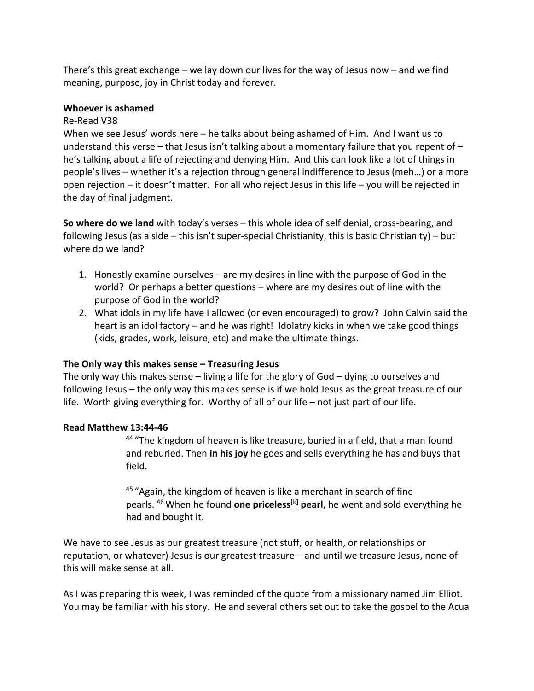There's this great exchange – we lay down our lives for the way of Jesus now – and we find meaning, purpose, joy in Christ today and forever.

#### **Whoever is ashamed**

#### Re-Read V38

When we see Jesus' words here – he talks about being ashamed of Him. And I want us to understand this verse – that Jesus isn't talking about a momentary failure that you repent of – he's talking about a life of rejecting and denying Him. And this can look like a lot of things in people's lives – whether it's a rejection through general indifference to Jesus (meh…) or a more open rejection – it doesn't matter. For all who reject Jesus in this life – you will be rejected in the day of final judgment.

**So where do we land** with today's verses – this whole idea of self denial, cross-bearing, and following Jesus (as a side – this isn't super-special Christianity, this is basic Christianity) – but where do we land?

- 1. Honestly examine ourselves are my desires in line with the purpose of God in the world? Or perhaps a better questions – where are my desires out of line with the purpose of God in the world?
- 2. What idols in my life have I allowed (or even encouraged) to grow? John Calvin said the heart is an idol factory – and he was right! Idolatry kicks in when we take good things (kids, grades, work, leisure, etc) and make the ultimate things.

#### **The Only way this makes sense – Treasuring Jesus**

The only way this makes sense – living a life for the glory of God – dying to ourselves and following Jesus – the only way this makes sense is if we hold Jesus as the great treasure of our life. Worth giving everything for. Worthy of all of our life – not just part of our life.

#### **Read Matthew 13:44-46**

<sup>44</sup> "The kingdom of heaven is like treasure, buried in a field, that a man found and reburied. Then **in his joy** he goes and sells everything he has and buys that field.

 $45$  "Again, the kingdom of heaven is like a merchant in search of fine pearls. <sup>46</sup> When he found **one priceless[k] pearl**, he went and sold everything he had and bought it.

We have to see Jesus as our greatest treasure (not stuff, or health, or relationships or reputation, or whatever) Jesus is our greatest treasure – and until we treasure Jesus, none of this will make sense at all.

As I was preparing this week, I was reminded of the quote from a missionary named Jim Elliot. You may be familiar with his story. He and several others set out to take the gospel to the Acua